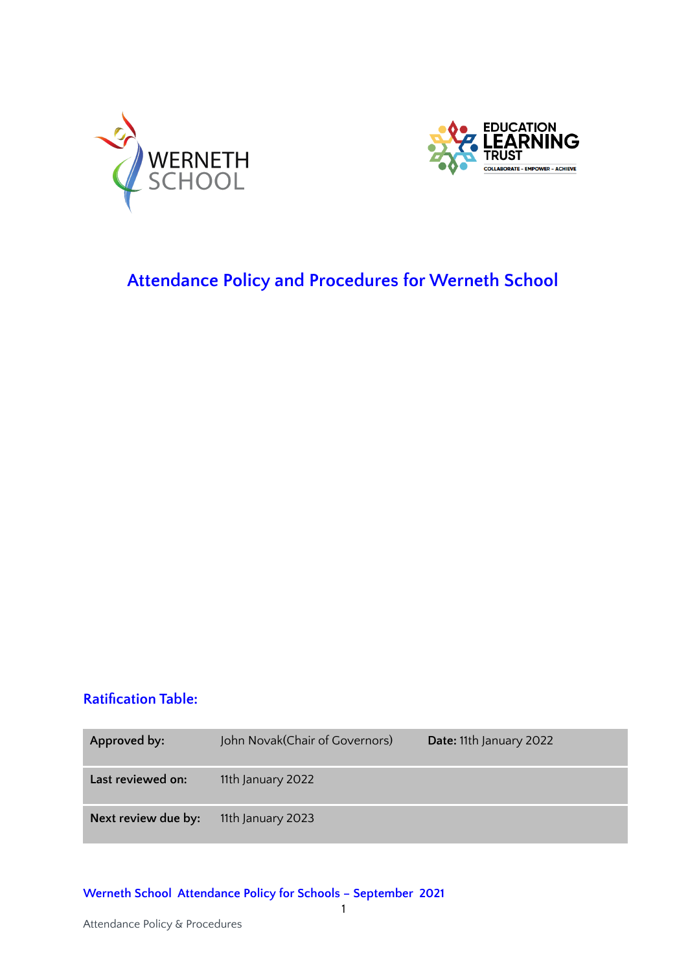



# <span id="page-0-1"></span><span id="page-0-0"></span>**Attendance Policy and Procedures for Werneth School**

### **Ratification Table:**

| Approved by:        | John Novak (Chair of Governors) | Date: 11th January 2022 |
|---------------------|---------------------------------|-------------------------|
| Last reviewed on:   | 11th January 2022               |                         |
| Next review due by: | 11th January 2023               |                         |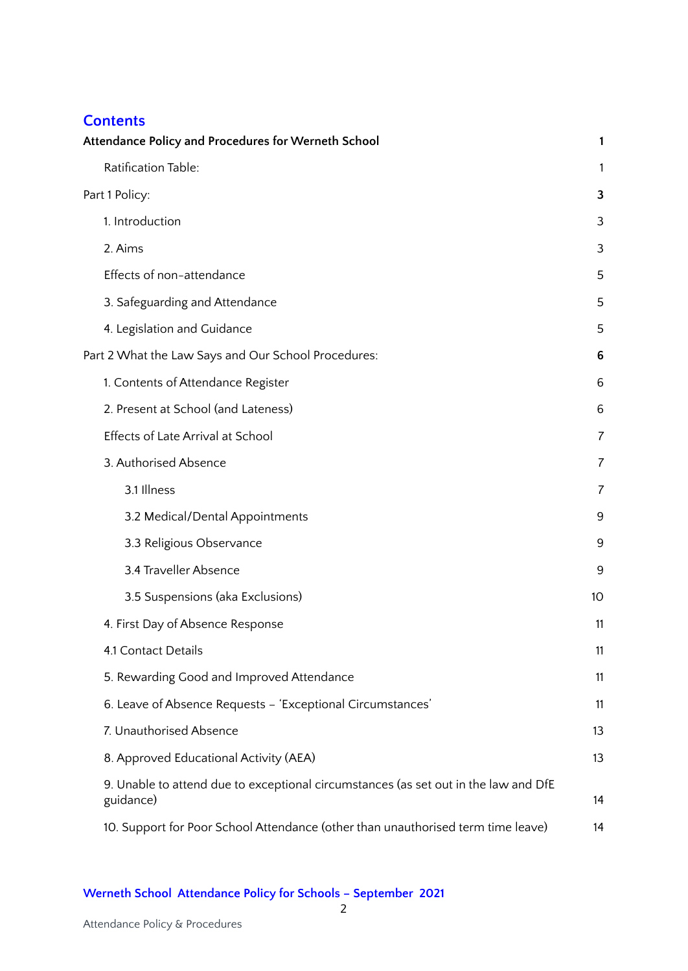### **Contents**

| <b>Attendance Policy and Procedures for Werneth School</b>                                       | 1  |
|--------------------------------------------------------------------------------------------------|----|
| Ratification Table:                                                                              | 1  |
| Part 1 Policy:                                                                                   | 3  |
| 1. Introduction                                                                                  | 3  |
| 2. Aims                                                                                          | 3  |
| Effects of non-attendance                                                                        | 5  |
| 3. Safeguarding and Attendance                                                                   | 5  |
| 4. Legislation and Guidance                                                                      | 5  |
| Part 2 What the Law Says and Our School Procedures:                                              | 6  |
| 1. Contents of Attendance Register                                                               | 6  |
| 2. Present at School (and Lateness)                                                              | 6  |
| Effects of Late Arrival at School                                                                | 7  |
| 3. Authorised Absence                                                                            | 7  |
| 3.1 Illness                                                                                      | 7  |
| 3.2 Medical/Dental Appointments                                                                  | 9  |
| 3.3 Religious Observance                                                                         | 9  |
| 3.4 Traveller Absence                                                                            | 9  |
| 3.5 Suspensions (aka Exclusions)                                                                 | 10 |
| 4. First Day of Absence Response                                                                 | 11 |
| 4.1 Contact Details                                                                              | 11 |
| 5. Rewarding Good and Improved Attendance                                                        | 11 |
| 6. Leave of Absence Requests - 'Exceptional Circumstances'                                       | 11 |
| 7. Unauthorised Absence                                                                          | 13 |
| 8. Approved Educational Activity (AEA)                                                           | 13 |
| 9. Unable to attend due to exceptional circumstances (as set out in the law and DfE<br>guidance) | 14 |
| 10. Support for Poor School Attendance (other than unauthorised term time leave)                 | 14 |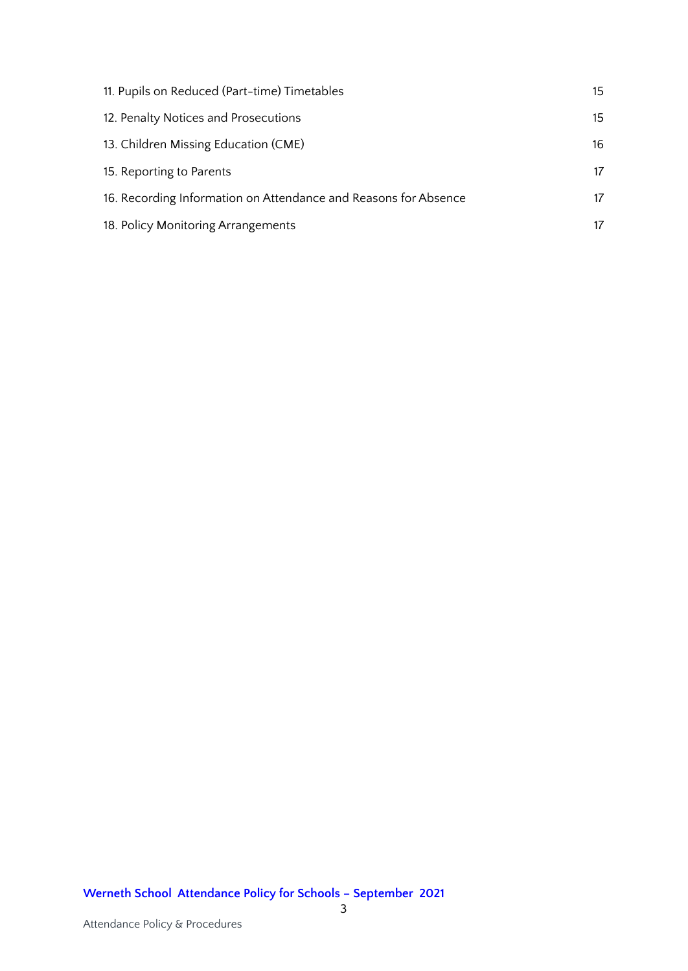| 11. Pupils on Reduced (Part-time) Timetables                    | 15 |
|-----------------------------------------------------------------|----|
| 12. Penalty Notices and Prosecutions                            | 15 |
| 13. Children Missing Education (CME)                            | 16 |
| 15. Reporting to Parents                                        | 17 |
| 16. Recording Information on Attendance and Reasons for Absence | 17 |
| 18. Policy Monitoring Arrangements                              | 17 |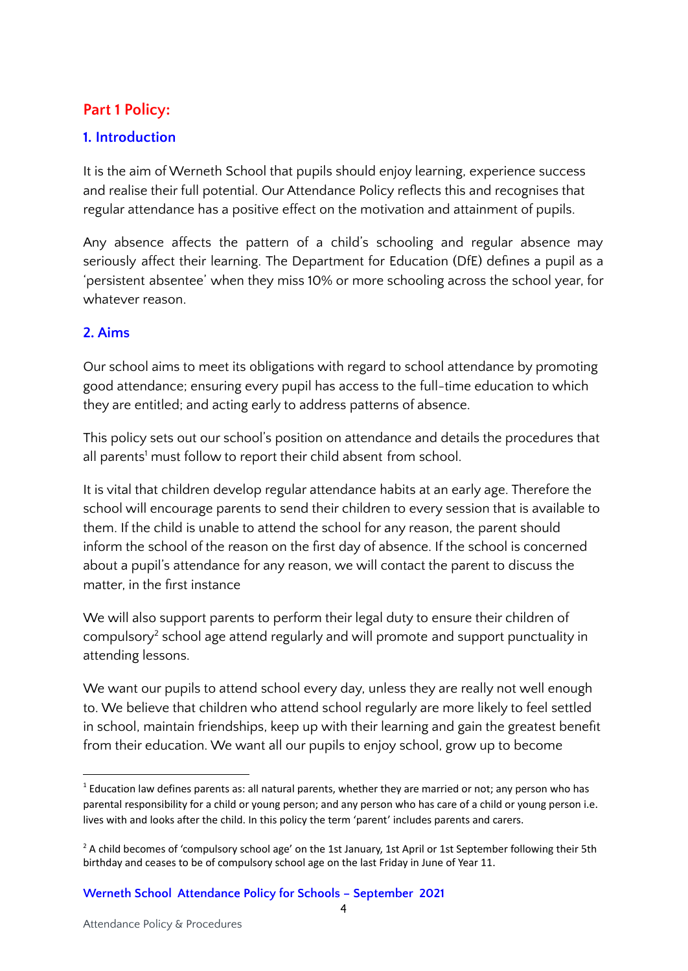## <span id="page-3-0"></span>**Part 1 Policy:**

### <span id="page-3-1"></span>**1. Introduction**

It is the aim of Werneth School that pupils should enjoy learning, experience success and realise their full potential. Our Attendance Policy reflects this and recognises that regular attendance has a positive effect on the motivation and attainment of pupils.

Any absence affects the pattern of a child's schooling and regular absence may seriously affect their learning. The Department for Education (DfE) defines a pupil as a 'persistent absentee' when they miss 10% or more schooling across the school year, for whatever reason.

### <span id="page-3-2"></span>**2. Aims**

Our school aims to meet its obligations with regard to school attendance by promoting good attendance; ensuring every pupil has access to the full-time education to which they are entitled; and acting early to address patterns of absence.

This policy sets out our school's position on attendance and details the procedures that all parents<sup>1</sup> must follow to report their child absent from school.

It is vital that children develop regular attendance habits at an early age. Therefore the school will encourage parents to send their children to every session that is available to them. If the child is unable to attend the school for any reason, the parent should inform the school of the reason on the first day of absence. If the school is concerned about a pupil's attendance for any reason, we will contact the parent to discuss the matter, in the first instance

We will also support parents to perform their legal duty to ensure their children of compulsory<sup>2</sup> school age attend regularly and will promote and support punctuality in attending lessons.

We want our pupils to attend school every day, unless they are really not well enough to. We believe that children who attend school regularly are more likely to feel settled in school, maintain friendships, keep up with their learning and gain the greatest benefit from their education. We want all our pupils to enjoy school, grow up to become

 $<sup>1</sup>$  Education law defines parents as: all natural parents, whether they are married or not; any person who has</sup> parental responsibility for a child or young person; and any person who has care of a child or young person i.e. lives with and looks after the child. In this policy the term 'parent' includes parents and carers.

 $<sup>2</sup>$  A child becomes of 'compulsory school age' on the 1st January, 1st April or 1st September following their 5th</sup> birthday and ceases to be of compulsory school age on the last Friday in June of Year 11.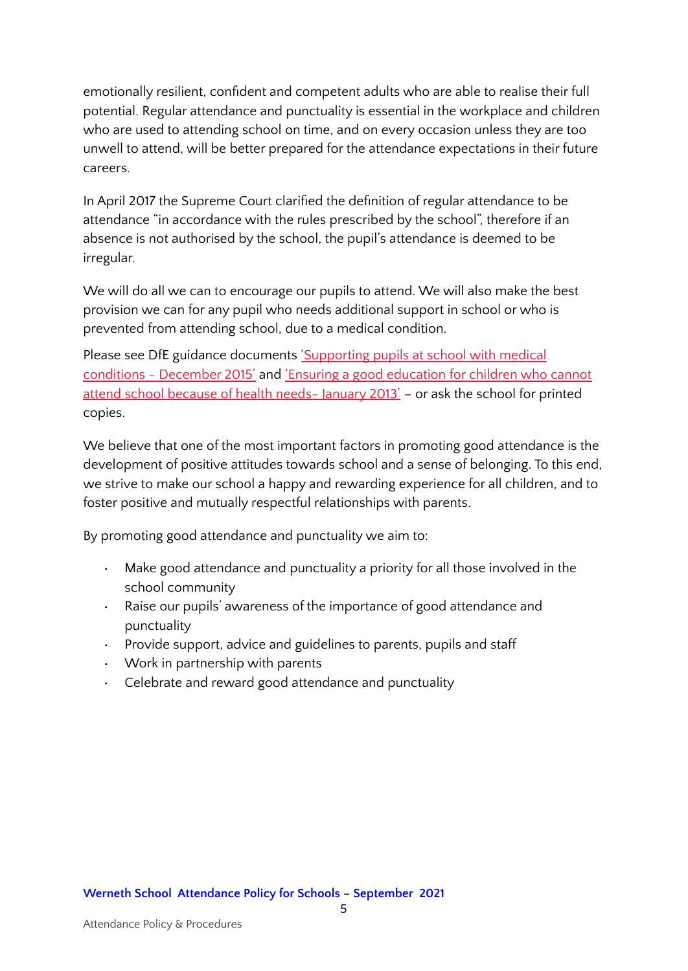emotionally resilient, confident and competent adults who are able to realise their full potential. Regular attendance and punctuality is essential in the workplace and children who are used to attending school on time, and on every occasion unless they are too unwell to attend, will be better prepared for the attendance expectations in their future careers.

In April 2017 the Supreme Court clarified the definition of regular attendance to be attendance "in accordance with the rules prescribed by the school", therefore if an absence is not authorised by the school, the pupil's attendance is deemed to be irregular.

We will do all we can to encourage our pupils to attend. We will also make the best provision we can for any pupil who needs additional support in school or who is prevented from attending school, due to a medical condition.

Please see DfE guidance documents ['Supporting](https://www.gov.uk/government/publications/supporting-pupils-at-school-with-medical-conditions--3) pupils at school with medical conditions - [December](https://www.gov.uk/government/publications/supporting-pupils-at-school-with-medical-conditions--3) 2015' and 'Ensuring a good [education](https://www.gov.uk/government/publications/education-for-children-with-health-needs-who-cannot-attend-school) for children who cannot attend school [because](https://www.gov.uk/government/publications/education-for-children-with-health-needs-who-cannot-attend-school) of health needs- January 2013' – or ask the school for printed copies.

We believe that one of the most important factors in promoting good attendance is the development of positive attitudes towards school and a sense of belonging. To this end, we strive to make our school a happy and rewarding experience for all children, and to foster positive and mutually respectful relationships with parents.

By promoting good attendance and punctuality we aim to:

- Make good attendance and punctuality a priority for all those involved in the school community
- Raise our pupils' awareness of the importance of good attendance and punctuality
- Provide support, advice and guidelines to parents, pupils and staff
- Work in partnership with parents
- Celebrate and reward good attendance and punctuality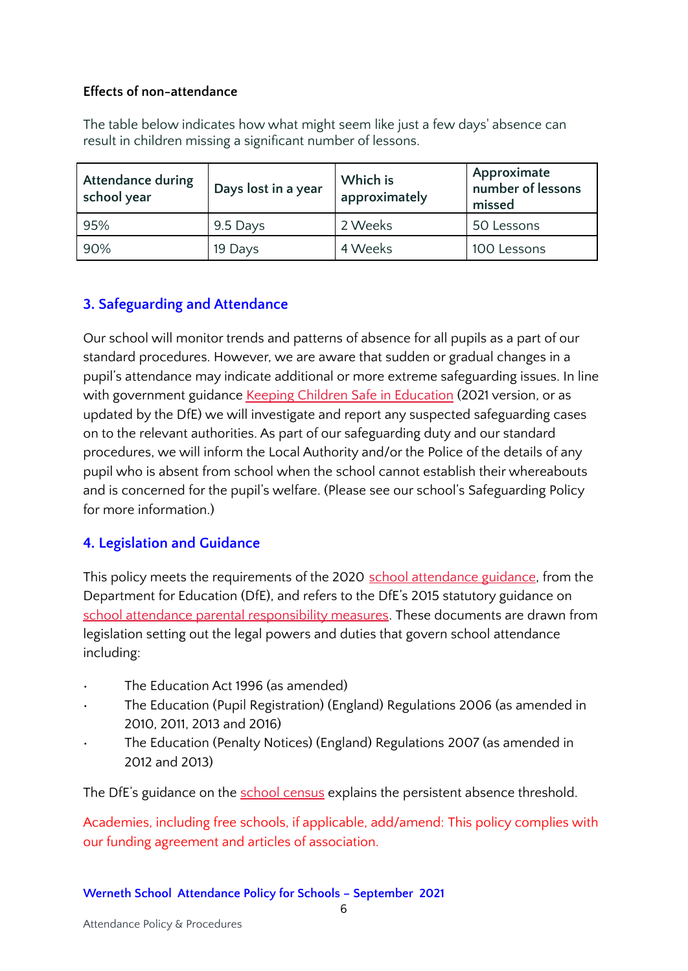#### <span id="page-5-0"></span>**Effects of non-attendance**

The table below indicates how what might seem like just a few days' absence can result in children missing a significant number of lessons.

| <b>Attendance during</b><br>school year | Days lost in a year | Which is<br>approximately | Approximate<br>number of lessons<br>missed |
|-----------------------------------------|---------------------|---------------------------|--------------------------------------------|
| 95%                                     | 9.5 Days            | 2 Weeks                   | 50 Lessons                                 |
| 90%                                     | 19 Days             | 4 Weeks                   | 100 Lessons                                |

### <span id="page-5-1"></span>**3. Safeguarding and Attendance**

Our school will monitor trends and patterns of absence for all pupils as a part of our standard procedures. However, we are aware that sudden or gradual changes in a pupil's attendance may indicate additional or more extreme safeguarding issues. In line with government guidance Keeping Children Safe in [Education](https://www.gov.uk/government/publications/keeping-children-safe-in-education--2) (2021 version, or as updated by the DfE) we will investigate and report any suspected safeguarding cases on to the relevant authorities. As part of our safeguarding duty and our standard procedures, we will inform the Local Authority and/or the Police of the details of any pupil who is absent from school when the school cannot establish their whereabouts and is concerned for the pupil's welfare. (Please see our school's Safeguarding Policy for more information.)

### <span id="page-5-2"></span>**4. Legislation and Guidance**

This policy meets the requirements of the 2020 school [attendance](https://www.gov.uk/government/publications/school-attendance) guidance, from the Department for Education (DfE), and refers to the DfE's 2015 statutory guidance on school attendance parental [responsibility](https://www.gov.uk/government/publications/parental-responsibility-measures-for-behaviour-and-attendance) measures. These documents are drawn from legislation setting out the legal powers and duties that govern school attendance including:

- The Education Act 1996 (as amended)
- The Education (Pupil Registration) (England) Regulations 2006 (as amended in 2010, 2011, 2013 and 2016)
- The Education (Penalty Notices) (England) Regulations 2007 (as amended in 2012 and 2013)

The DfE's guidance on the school [census](https://www.gov.uk/guidance/complete-the-school-census) explains the persistent absence threshold.

Academies, including free schools, if applicable, add/amend: This policy complies with our funding agreement and articles of association.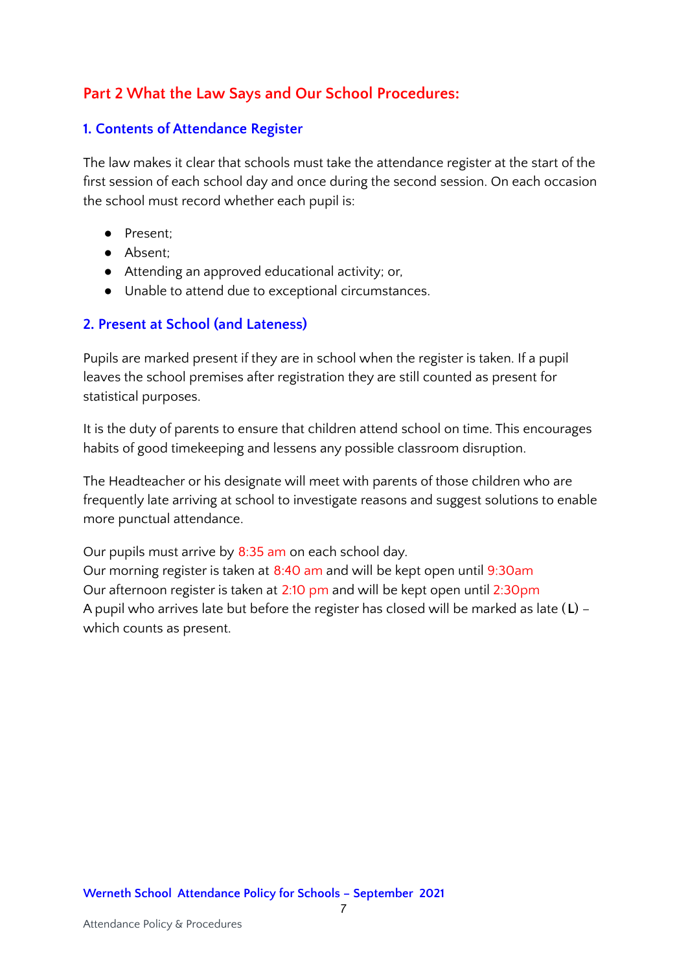## <span id="page-6-0"></span>**Part 2 What the Law Says and Our School Procedures:**

#### <span id="page-6-1"></span>**1. Contents of Attendance Register**

The law makes it clear that schools must take the attendance register at the start of the first session of each school day and once during the second session. On each occasion the school must record whether each pupil is:

- Present;
- Absent;
- Attending an approved educational activity; or,
- Unable to attend due to exceptional circumstances.

#### <span id="page-6-2"></span>**2. Present at School (and Lateness)**

Pupils are marked present if they are in school when the register is taken. If a pupil leaves the school premises after registration they are still counted as present for statistical purposes.

It is the duty of parents to ensure that children attend school on time. This encourages habits of good timekeeping and lessens any possible classroom disruption.

The Headteacher or his designate will meet with parents of those children who are frequently late arriving at school to investigate reasons and suggest solutions to enable more punctual attendance.

Our pupils must arrive by  $8:35$  am on each school day.

Our morning register is taken at 8:40 am and will be kept open until 9:30am Our afternoon register is taken at 2:10 pm and will be kept open until 2:30pm A pupil who arrives late but before the register has closed will be marked as late (**L**) – which counts as present.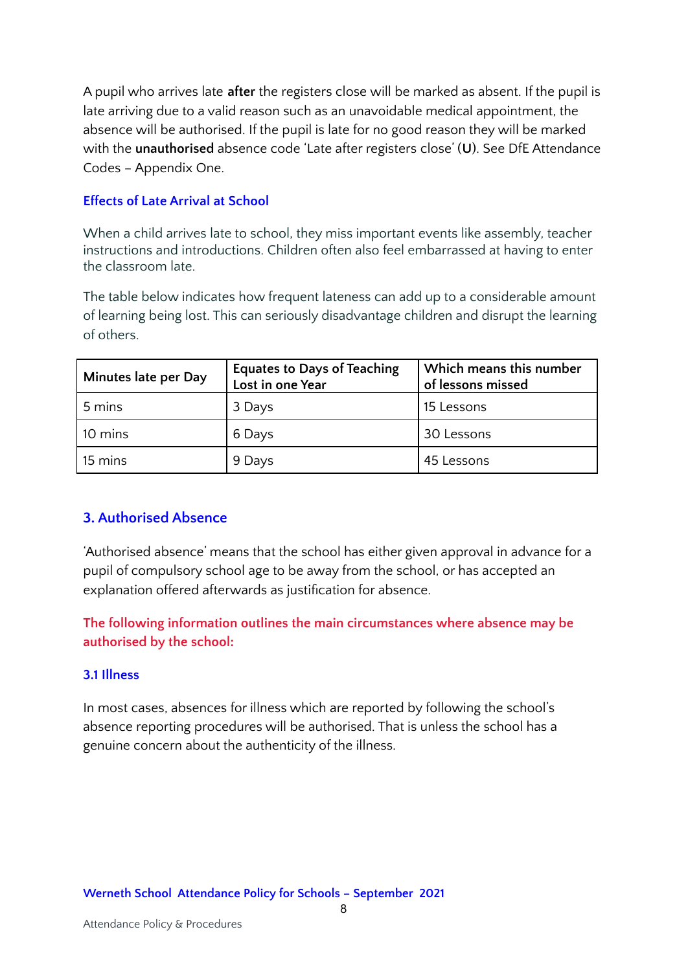A pupil who arrives late **after** the registers close will be marked as absent. If the pupil is late arriving due to a valid reason such as an unavoidable medical appointment, the absence will be authorised. If the pupil is late for no good reason they will be marked with the **unauthorised** absence code 'Late after registers close' (**U**). See DfE Attendance Codes – Appendix One.

#### <span id="page-7-0"></span>**Effects of Late Arrival at School**

When a child arrives late to school, they miss important events like assembly, teacher instructions and introductions. Children often also feel embarrassed at having to enter the classroom late.

The table below indicates how frequent lateness can add up to a considerable amount of learning being lost. This can seriously disadvantage children and disrupt the learning of others.

| Minutes late per Day | <b>Equates to Days of Teaching</b><br>Lost in one Year | Which means this number<br>of lessons missed |
|----------------------|--------------------------------------------------------|----------------------------------------------|
| 5 mins               | 3 Days                                                 | 15 Lessons                                   |
| 10 mins              | 6 Days                                                 | 30 Lessons                                   |
| 15 mins              | 9 Days                                                 | 45 Lessons                                   |

### <span id="page-7-1"></span>**3. Authorised Absence**

'Authorised absence' means that the school has either given approval in advance for a pupil of compulsory school age to be away from the school, or has accepted an explanation offered afterwards as justification for absence.

**The following information outlines the main circumstances where absence may be authorised by the school:**

#### <span id="page-7-2"></span>**3.1 Illness**

In most cases, absences for illness which are reported by following the school's absence reporting procedures will be authorised. That is unless the school has a genuine concern about the authenticity of the illness.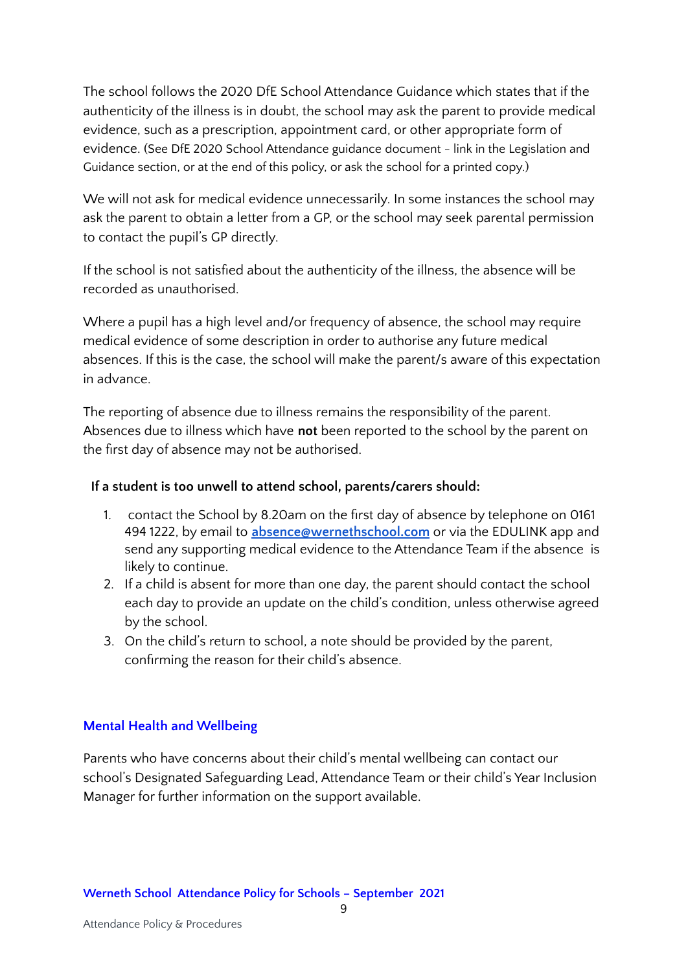The school follows the 2020 DfE School Attendance Guidance which states that if the authenticity of the illness is in doubt, the school may ask the parent to provide medical evidence, such as a prescription, appointment card, or other appropriate form of evidence. (See DfE 2020 School Attendance guidance document - link in the Legislation and Guidance section, or at the end of this policy, or ask the school for a printed copy.)

We will not ask for medical evidence unnecessarily. In some instances the school may ask the parent to obtain a letter from a GP, or the school may seek parental permission to contact the pupil's GP directly.

If the school is not satisfied about the authenticity of the illness, the absence will be recorded as unauthorised.

Where a pupil has a high level and/or frequency of absence, the school may require medical evidence of some description in order to authorise any future medical absences. If this is the case, the school will make the parent/s aware of this expectation in advance.

The reporting of absence due to illness remains the responsibility of the parent. Absences due to illness which have **not** been reported to the school by the parent on the first day of absence may not be authorised.

#### **If a student is too unwell to attend school, parents/carers should:**

- 1. contact the School by 8.20am on the first day of absence by telephone on 0161 494 1222, by email to **[absence@wernethschool.com](mailto:absence@wernethschool.com)** or via the EDULINK app and send any supporting medical evidence to the Attendance Team if the absence is likely to continue.
- 2. If a child is absent for more than one day, the parent should contact the school each day to provide an update on the child's condition, unless otherwise agreed by the school.
- 3. On the child's return to school, a note should be provided by the parent, confirming the reason for their child's absence.

#### **Mental Health and Wellbeing**

Parents who have concerns about their child's mental wellbeing can contact our school's Designated Safeguarding Lead, Attendance Team or their child's Year Inclusion Manager for further information on the support available.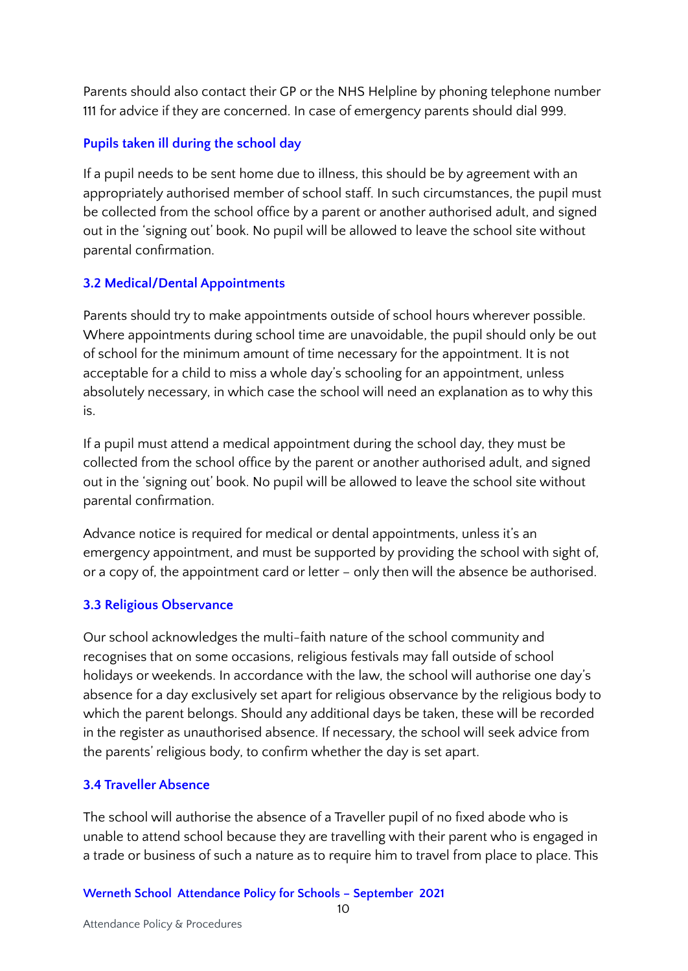Parents should also contact their GP or the NHS Helpline by phoning telephone number 111 for advice if they are concerned. In case of emergency parents should dial 999.

#### **Pupils taken ill during the school day**

If a pupil needs to be sent home due to illness, this should be by agreement with an appropriately authorised member of school staff. In such circumstances, the pupil must be collected from the school office by a parent or another authorised adult, and signed out in the 'signing out' book. No pupil will be allowed to leave the school site without parental confirmation.

#### <span id="page-9-0"></span>**3.2 Medical/Dental Appointments**

Parents should try to make appointments outside of school hours wherever possible. Where appointments during school time are unavoidable, the pupil should only be out of school for the minimum amount of time necessary for the appointment. It is not acceptable for a child to miss a whole day's schooling for an appointment, unless absolutely necessary, in which case the school will need an explanation as to why this is.

If a pupil must attend a medical appointment during the school day, they must be collected from the school office by the parent or another authorised adult, and signed out in the 'signing out' book. No pupil will be allowed to leave the school site without parental confirmation.

Advance notice is required for medical or dental appointments, unless it's an emergency appointment, and must be supported by providing the school with sight of, or a copy of, the appointment card or letter – only then will the absence be authorised.

#### <span id="page-9-1"></span>**3.3 Religious Observance**

Our school acknowledges the multi-faith nature of the school community and recognises that on some occasions, religious festivals may fall outside of school holidays or weekends. In accordance with the law, the school will authorise one day's absence for a day exclusively set apart for religious observance by the religious body to which the parent belongs. Should any additional days be taken, these will be recorded in the register as unauthorised absence. If necessary, the school will seek advice from the parents' religious body, to confirm whether the day is set apart.

#### <span id="page-9-2"></span>**3.4 Traveller Absence**

The school will authorise the absence of a Traveller pupil of no fixed abode who is unable to attend school because they are travelling with their parent who is engaged in a trade or business of such a nature as to require him to travel from place to place. This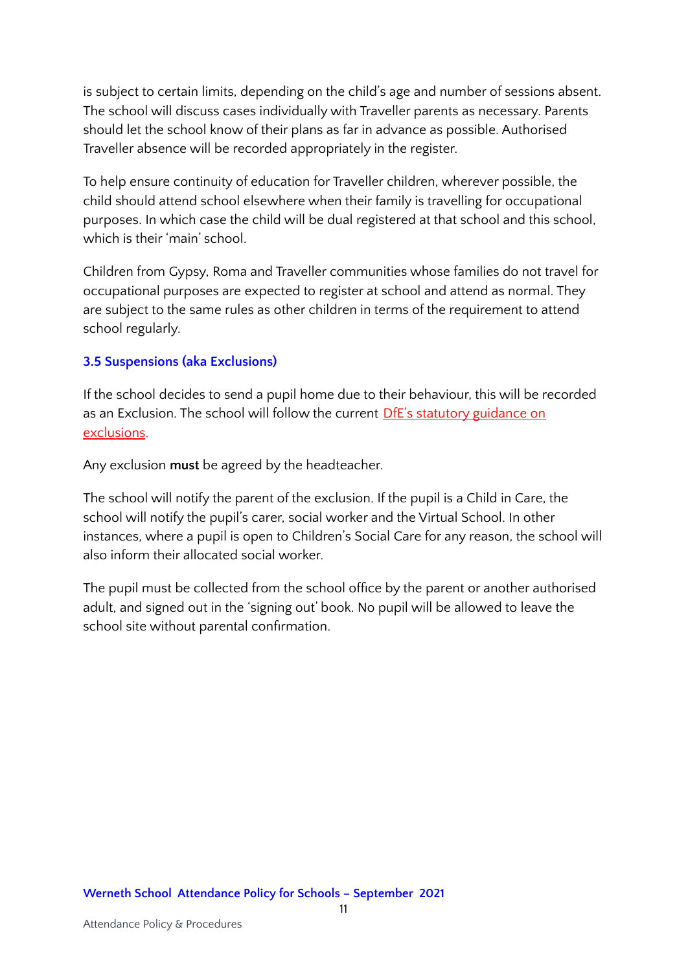is subject to certain limits, depending on the child's age and number of sessions absent. The school will discuss cases individually with Traveller parents as necessary. Parents should let the school know of their plans as far in advance as possible. Authorised Traveller absence will be recorded appropriately in the register.

To help ensure continuity of education for Traveller children, wherever possible, the child should attend school elsewhere when their family is travelling for occupational purposes. In which case the child will be dual registered at that school and this school, which is their 'main' school.

Children from Gypsy, Roma and Traveller communities whose families do not travel for occupational purposes are expected to register at school and attend as normal. They are subject to the same rules as other children in terms of the requirement to attend school regularly.

#### <span id="page-10-0"></span>**3.5 Suspensions (aka Exclusions)**

If the school decides to send a pupil home due to their behaviour, this will be recorded as an Exclusion. The school will follow the current DfE's statutory [guidance](https://www.gov.uk/government/publications/school-exclusion) on [exclusions](https://www.gov.uk/government/publications/school-exclusion).

Any exclusion **must** be agreed by the headteacher.

The school will notify the parent of the exclusion. If the pupil is a Child in Care, the school will notify the pupil's carer, social worker and the Virtual School. In other instances, where a pupil is open to Children's Social Care for any reason, the school will also inform their allocated social worker.

The pupil must be collected from the school office by the parent or another authorised adult, and signed out in the 'signing out' book. No pupil will be allowed to leave the school site without parental confirmation.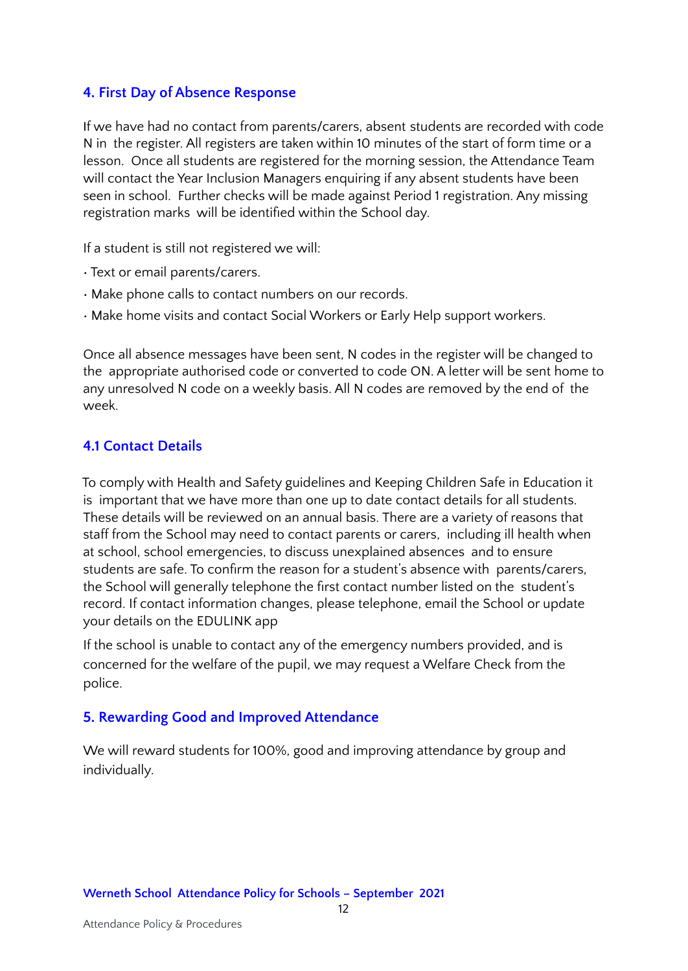#### <span id="page-11-0"></span>**4. First Day of Absence Response**

If we have had no contact from parents/carers, absent students are recorded with code N in the register. All registers are taken within 10 minutes of the start of form time or a lesson. Once all students are registered for the morning session, the Attendance Team will contact the Year Inclusion Managers enquiring if any absent students have been seen in school. Further checks will be made against Period 1 registration. Any missing registration marks will be identified within the School day.

If a student is still not registered we will:

- Text or email parents/carers.
- Make phone calls to contact numbers on our records.
- Make home visits and contact Social Workers or Early Help support workers.

Once all absence messages have been sent, N codes in the register will be changed to the appropriate authorised code or converted to code ON. A letter will be sent home to any unresolved N code on a weekly basis. All N codes are removed by the end of the week.

#### <span id="page-11-1"></span>**4.1 Contact Details**

To comply with Health and Safety guidelines and Keeping Children Safe in Education it is important that we have more than one up to date contact details for all students. These details will be reviewed on an annual basis. There are a variety of reasons that staff from the School may need to contact parents or carers, including ill health when at school, school emergencies, to discuss unexplained absences and to ensure students are safe. To confirm the reason for a student's absence with parents/carers, the School will generally telephone the first contact number listed on the student's record. If contact information changes, please telephone, email the School or update your details on the EDULINK app

If the school is unable to contact any of the emergency numbers provided, and is concerned for the welfare of the pupil, we may request a Welfare Check from the police.

### <span id="page-11-2"></span>**5. Rewarding Good and Improved Attendance**

We will reward students for 100%, good and improving attendance by group and individually.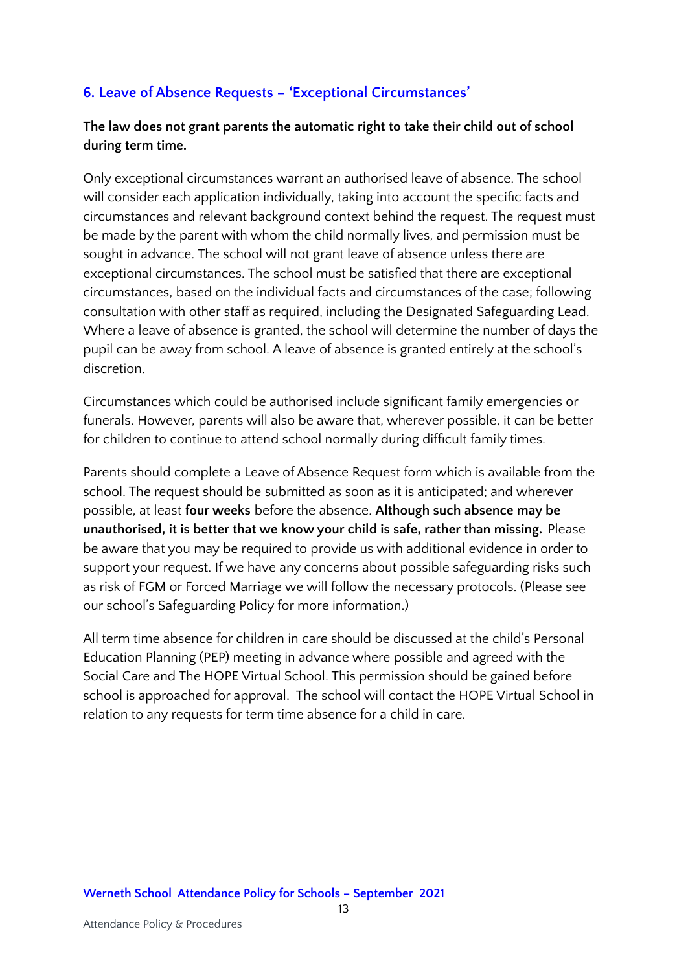### <span id="page-12-0"></span>**6. Leave of Absence Requests – 'Exceptional Circumstances'**

#### **The law does not grant parents the automatic right to take their child out of school during term time.**

Only exceptional circumstances warrant an authorised leave of absence. The school will consider each application individually, taking into account the specific facts and circumstances and relevant background context behind the request. The request must be made by the parent with whom the child normally lives, and permission must be sought in advance. The school will not grant leave of absence unless there are exceptional circumstances. The school must be satisfied that there are exceptional circumstances, based on the individual facts and circumstances of the case; following consultation with other staff as required, including the Designated Safeguarding Lead. Where a leave of absence is granted, the school will determine the number of days the pupil can be away from school. A leave of absence is granted entirely at the school's discretion.

Circumstances which could be authorised include significant family emergencies or funerals. However, parents will also be aware that, wherever possible, it can be better for children to continue to attend school normally during difficult family times.

Parents should complete a Leave of Absence Request form which is available from the school. The request should be submitted as soon as it is anticipated; and wherever possible, at least **four weeks** before the absence. **Although such absence may be unauthorised, it is better that we know your child is safe, rather than missing.** Please be aware that you may be required to provide us with additional evidence in order to support your request. If we have any concerns about possible safeguarding risks such as risk of FGM or Forced Marriage we will follow the necessary protocols. (Please see our school's Safeguarding Policy for more information.)

All term time absence for children in care should be discussed at the child's Personal Education Planning (PEP) meeting in advance where possible and agreed with the Social Care and The HOPE Virtual School. This permission should be gained before school is approached for approval. The school will contact the HOPE Virtual School in relation to any requests for term time absence for a child in care.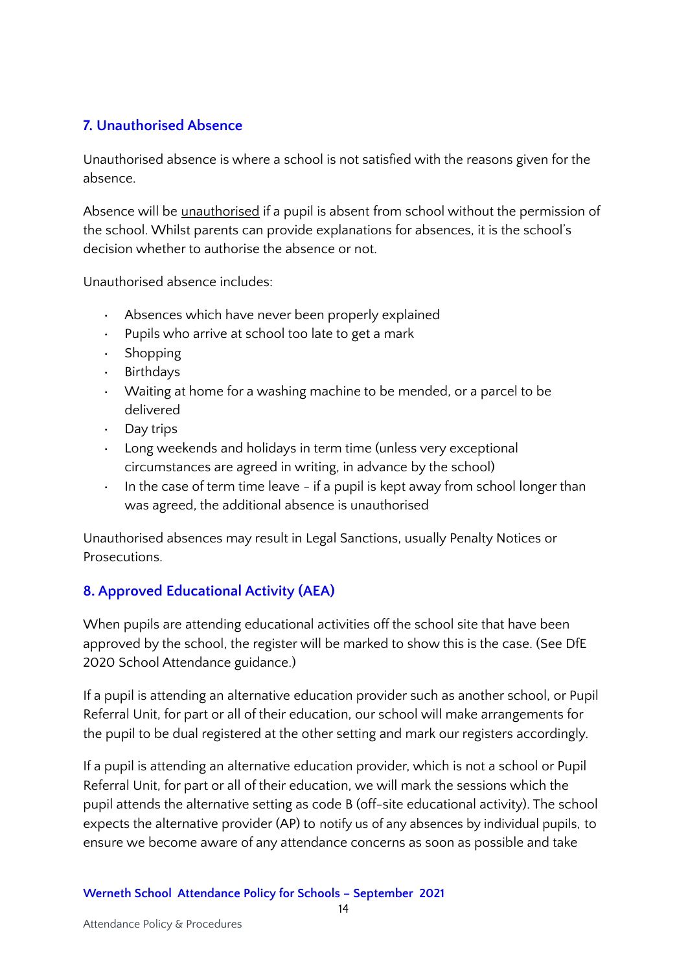### <span id="page-13-0"></span>**7. Unauthorised Absence**

Unauthorised absence is where a school is not satisfied with the reasons given for the absence.

Absence will be unauthorised if a pupil is absent from school without the permission of the school. Whilst parents can provide explanations for absences, it is the school's decision whether to authorise the absence or not.

Unauthorised absence includes:

- Absences which have never been properly explained
- Pupils who arrive at school too late to get a mark
- Shopping
- Birthdays
- Waiting at home for a washing machine to be mended, or a parcel to be delivered
- Day trips
- Long weekends and holidays in term time (unless very exceptional circumstances are agreed in writing, in advance by the school)
- $\cdot$  In the case of term time leave if a pupil is kept away from school longer than was agreed, the additional absence is unauthorised

Unauthorised absences may result in Legal Sanctions, usually Penalty Notices or Prosecutions.

### <span id="page-13-1"></span>**8. Approved Educational Activity (AEA)**

When pupils are attending educational activities off the school site that have been approved by the school, the register will be marked to show this is the case. (See DfE 2020 School Attendance guidance.)

If a pupil is attending an alternative education provider such as another school, or Pupil Referral Unit, for part or all of their education, our school will make arrangements for the pupil to be dual registered at the other setting and mark our registers accordingly.

If a pupil is attending an alternative education provider, which is not a school or Pupil Referral Unit, for part or all of their education, we will mark the sessions which the pupil attends the alternative setting as code B (off-site educational activity). The school expects the alternative provider (AP) to notify us of any absences by individual pupils, to ensure we become aware of any attendance concerns as soon as possible and take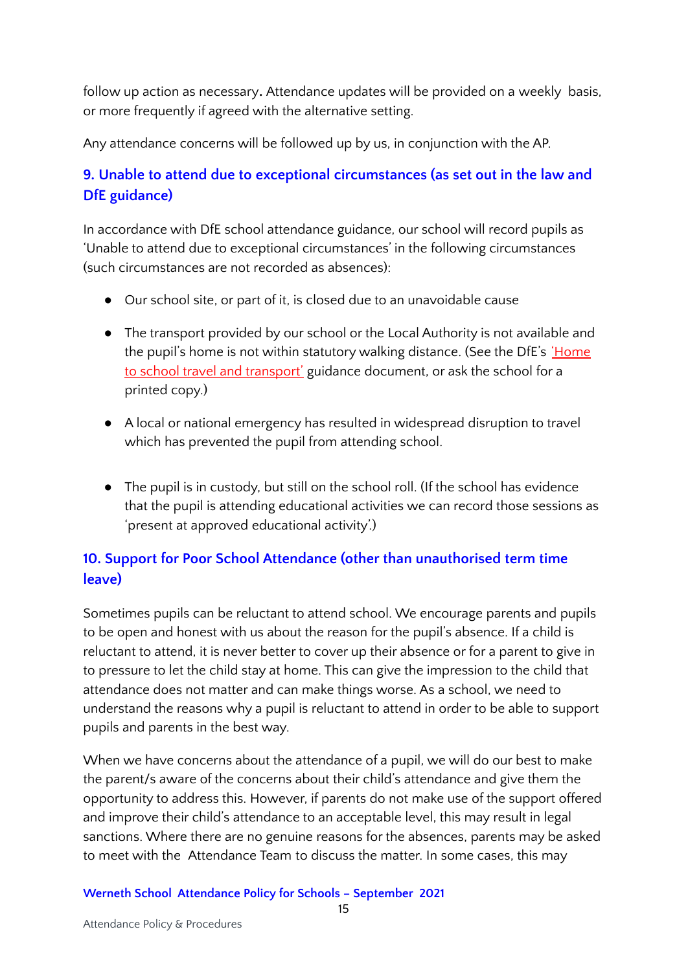follow up action as necessary**.** Attendance updates will be provided on a weekly basis, or more frequently if agreed with the alternative setting.

Any attendance concerns will be followed up by us, in conjunction with the AP.

## <span id="page-14-0"></span>**9. Unable to attend due to exceptional circumstances (as set out in the law and DfE guidance)**

In accordance with DfE school attendance guidance, our school will record pupils as 'Unable to attend due to exceptional circumstances' in the following circumstances (such circumstances are not recorded as absences):

- Our school site, or part of it, is closed due to an unavoidable cause
- The transport provided by our school or the Local Authority is not available and the pupil's home is not within statutory walking distance. (See the DfE's ['Home](https://www.gov.uk/government/publications/home-to-school-travel-and-transport-guidance) to school travel and [transport'](https://www.gov.uk/government/publications/home-to-school-travel-and-transport-guidance) guidance document, or ask the school for a printed copy.)
- A local or national emergency has resulted in widespread disruption to travel which has prevented the pupil from attending school.
- The pupil is in custody, but still on the school roll. (If the school has evidence that the pupil is attending educational activities we can record those sessions as 'present at approved educational activity'.)

## <span id="page-14-1"></span>**10. Support for Poor School Attendance (other than unauthorised term time leave)**

Sometimes pupils can be reluctant to attend school. We encourage parents and pupils to be open and honest with us about the reason for the pupil's absence. If a child is reluctant to attend, it is never better to cover up their absence or for a parent to give in to pressure to let the child stay at home. This can give the impression to the child that attendance does not matter and can make things worse. As a school, we need to understand the reasons why a pupil is reluctant to attend in order to be able to support pupils and parents in the best way.

When we have concerns about the attendance of a pupil, we will do our best to make the parent/s aware of the concerns about their child's attendance and give them the opportunity to address this. However, if parents do not make use of the support offered and improve their child's attendance to an acceptable level, this may result in legal sanctions. Where there are no genuine reasons for the absences, parents may be asked to meet with the Attendance Team to discuss the matter. In some cases, this may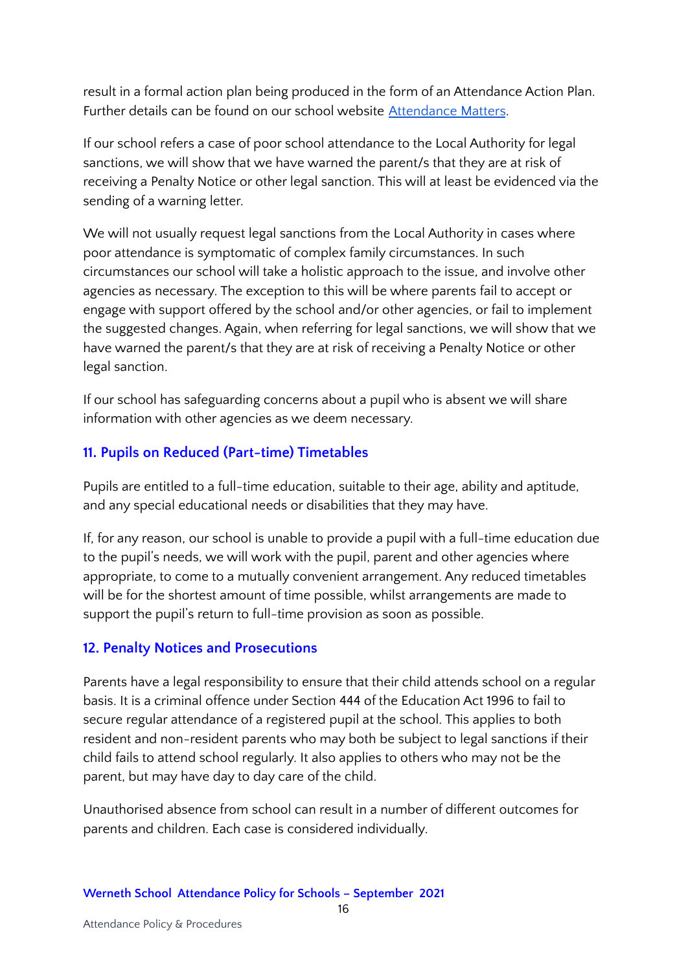result in a formal action plan being produced in the form of an Attendance Action Plan. Further details can be found on our school website [Attendance](https://www.wernethschool.com/parents/attendance) Matters.

If our school refers a case of poor school attendance to the Local Authority for legal sanctions, we will show that we have warned the parent/s that they are at risk of receiving a Penalty Notice or other legal sanction. This will at least be evidenced via the sending of a warning letter.

We will not usually request legal sanctions from the Local Authority in cases where poor attendance is symptomatic of complex family circumstances. In such circumstances our school will take a holistic approach to the issue, and involve other agencies as necessary. The exception to this will be where parents fail to accept or engage with support offered by the school and/or other agencies, or fail to implement the suggested changes. Again, when referring for legal sanctions, we will show that we have warned the parent/s that they are at risk of receiving a Penalty Notice or other legal sanction.

If our school has safeguarding concerns about a pupil who is absent we will share information with other agencies as we deem necessary.

### <span id="page-15-0"></span>**11. Pupils on Reduced (Part-time) Timetables**

Pupils are entitled to a full-time education, suitable to their age, ability and aptitude, and any special educational needs or disabilities that they may have.

If, for any reason, our school is unable to provide a pupil with a full-time education due to the pupil's needs, we will work with the pupil, parent and other agencies where appropriate, to come to a mutually convenient arrangement. Any reduced timetables will be for the shortest amount of time possible, whilst arrangements are made to support the pupil's return to full-time provision as soon as possible.

### <span id="page-15-1"></span>**12. Penalty Notices and Prosecutions**

Parents have a legal responsibility to ensure that their child attends school on a regular basis. It is a criminal offence under Section 444 of the Education Act 1996 to fail to secure regular attendance of a registered pupil at the school. This applies to both resident and non-resident parents who may both be subject to legal sanctions if their child fails to attend school regularly. It also applies to others who may not be the parent, but may have day to day care of the child.

Unauthorised absence from school can result in a number of different outcomes for parents and children. Each case is considered individually.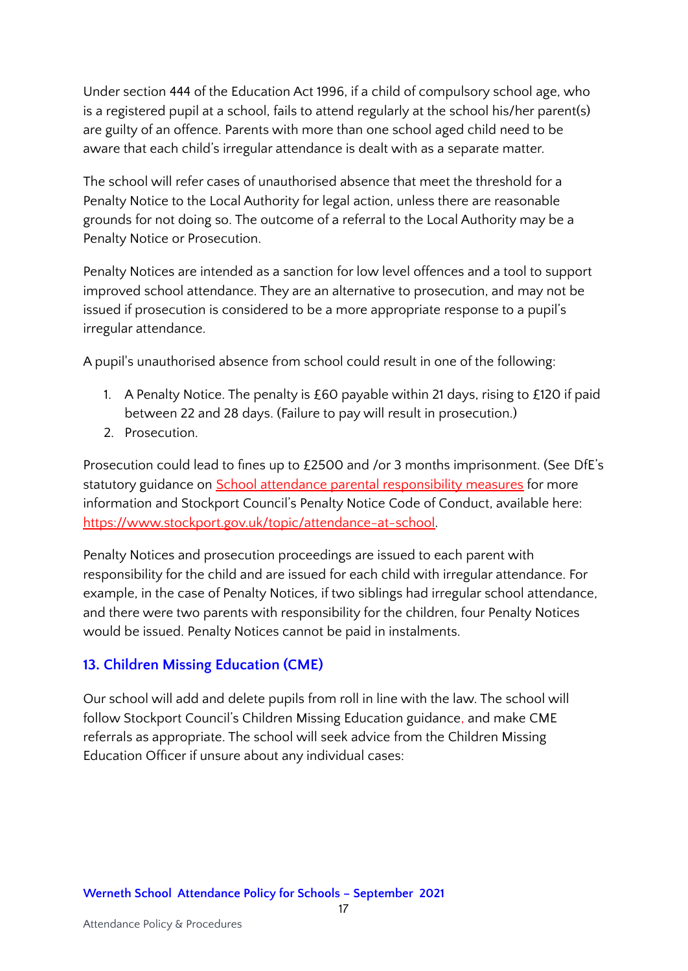Under section 444 of the Education Act 1996, if a child of compulsory school age, who is a registered pupil at a school, fails to attend regularly at the school his/her parent(s) are guilty of an offence. Parents with more than one school aged child need to be aware that each child's irregular attendance is dealt with as a separate matter.

The school will refer cases of unauthorised absence that meet the threshold for a Penalty Notice to the Local Authority for legal action, unless there are reasonable grounds for not doing so. The outcome of a referral to the Local Authority may be a Penalty Notice or Prosecution.

Penalty Notices are intended as a sanction for low level offences and a tool to support improved school attendance. They are an alternative to prosecution, and may not be issued if prosecution is considered to be a more appropriate response to a pupil's irregular attendance.

A pupil's unauthorised absence from school could result in one of the following:

- 1. A Penalty Notice. The penalty is £60 payable within 21 days, rising to £120 if paid between 22 and 28 days. (Failure to pay will result in prosecution.)
- 2. Prosecution.

Prosecution could lead to fines up to £2500 and /or 3 months imprisonment. (See DfE's statutory guidance on **School attendance parental [responsibility](https://www.gov.uk/government/publications/parental-responsibility-measures-for-behaviour-and-attendance) measures** for more information and Stockport Council's Penalty Notice Code of Conduct, available here: [https://www.stockport.gov.uk/topic/attendance-at-school.](https://www.stockport.gov.uk/topic/attendance-at-school)

Penalty Notices and prosecution proceedings are issued to each parent with responsibility for the child and are issued for each child with irregular attendance. For example, in the case of Penalty Notices, if two siblings had irregular school attendance, and there were two parents with responsibility for the children, four Penalty Notices would be issued. Penalty Notices cannot be paid in instalments.

### <span id="page-16-0"></span>**13. Children Missing Education (CME)**

Our school will add and delete pupils from roll in line with the law. The school will follow Stockport Council's Children Missing Education guidance, and make CME referrals as appropriate. The school will seek advice from the Children Missing Education Officer if unsure about any individual cases: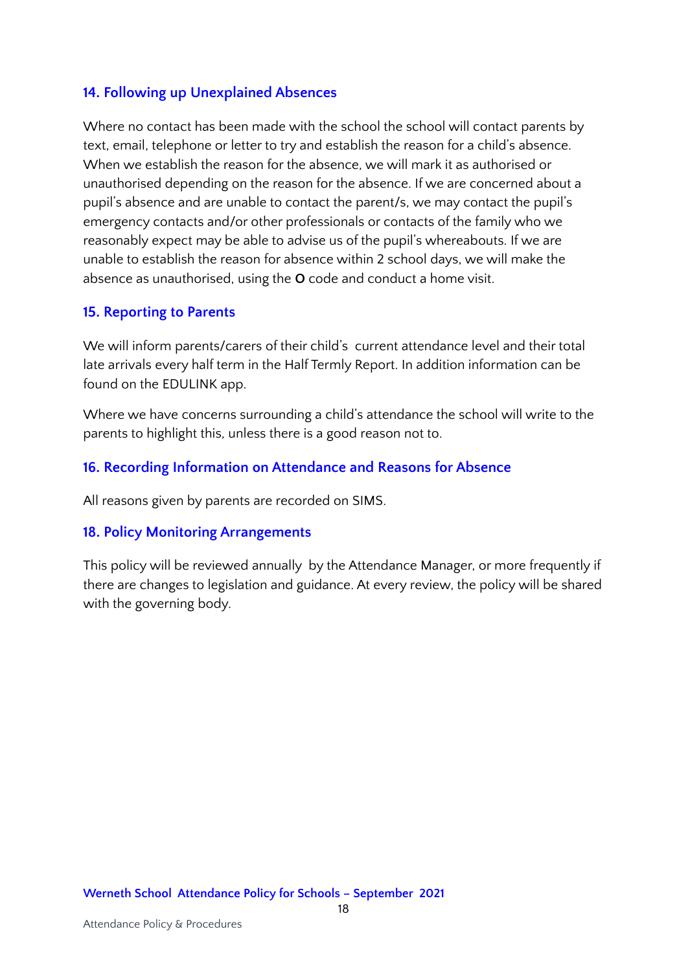#### **14. Following up Unexplained Absences**

Where no contact has been made with the school the school will contact parents by text, email, telephone or letter to try and establish the reason for a child's absence. When we establish the reason for the absence, we will mark it as authorised or unauthorised depending on the reason for the absence. If we are concerned about a pupil's absence and are unable to contact the parent/s, we may contact the pupil's emergency contacts and/or other professionals or contacts of the family who we reasonably expect may be able to advise us of the pupil's whereabouts. If we are unable to establish the reason for absence within 2 school days, we will make the absence as unauthorised, using the **O** code and conduct a home visit.

#### <span id="page-17-0"></span>**15. Reporting to Parents**

We will inform parents/carers of their child's current attendance level and their total late arrivals every half term in the Half Termly Report. In addition information can be found on the EDULINK app.

Where we have concerns surrounding a child's attendance the school will write to the parents to highlight this, unless there is a good reason not to.

#### <span id="page-17-1"></span>**16. Recording Information on Attendance and Reasons for Absence**

All reasons given by parents are recorded on SIMS.

#### <span id="page-17-2"></span>**18. Policy Monitoring Arrangements**

This policy will be reviewed annually by the Attendance Manager, or more frequently if there are changes to legislation and guidance. At every review, the policy will be shared with the governing body.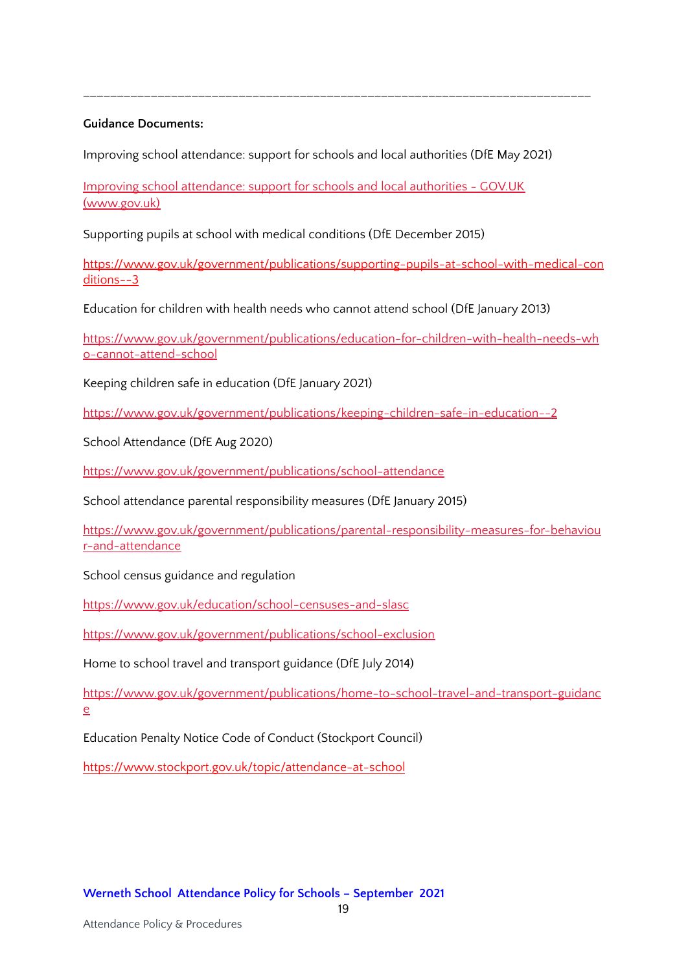#### **Guidance Documents:**

Improving school attendance: support for schools and local authorities (DfE May 2021)

\_\_\_\_\_\_\_\_\_\_\_\_\_\_\_\_\_\_\_\_\_\_\_\_\_\_\_\_\_\_\_\_\_\_\_\_\_\_\_\_\_\_\_\_\_\_\_\_\_\_\_\_\_\_\_\_\_\_\_\_\_\_\_\_\_\_\_\_\_\_\_\_\_\_\_

Improving school [attendance:](https://www.gov.uk/government/publications/school-attendance/framework-for-securing-full-attendance-actions-for-schools-and-local-authorities) support for schools and local authorities - GOV.UK [\(www.gov.uk\)](https://www.gov.uk/government/publications/school-attendance/framework-for-securing-full-attendance-actions-for-schools-and-local-authorities)

Supporting pupils at school with medical conditions (DfE December 2015)

[https://www.gov.uk/government/publications/supporting-pupils-at-school-with-medical-con](https://www.gov.uk/government/publications/supporting-pupils-at-school-with-medical-conditions--3) [ditions--3](https://www.gov.uk/government/publications/supporting-pupils-at-school-with-medical-conditions--3)

Education for children with health needs who cannot attend school (DfE January 2013)

[https://www.gov.uk/government/publications/education-for-children-with-health-needs-wh](https://www.gov.uk/government/publications/education-for-children-with-health-needs-who-cannot-attend-school) [o-cannot-attend-school](https://www.gov.uk/government/publications/education-for-children-with-health-needs-who-cannot-attend-school)

Keeping children safe in education (DfE January 2021)

<https://www.gov.uk/government/publications/keeping-children-safe-in-education--2>

School Attendance (DfE Aug 2020)

<https://www.gov.uk/government/publications/school-attendance>

School attendance parental responsibility measures (DfE January 2015)

[https://www.gov.uk/government/publications/parental-responsibility-measures-for-behaviou](https://www.gov.uk/government/publications/parental-responsibility-measures-for-behaviour-and-attendance) [r-and-attendance](https://www.gov.uk/government/publications/parental-responsibility-measures-for-behaviour-and-attendance)

School census guidance and regulation

<https://www.gov.uk/education/school-censuses-and-slasc>

<https://www.gov.uk/government/publications/school-exclusion>

Home to school travel and transport guidance (DfE July 2014)

[https://www.gov.uk/government/publications/home-to-school-travel-and-transport-guidanc](https://www.gov.uk/government/publications/home-to-school-travel-and-transport-guidance) [e](https://www.gov.uk/government/publications/home-to-school-travel-and-transport-guidance)

Education Penalty Notice Code of Conduct (Stockport Council)

<https://www.stockport.gov.uk/topic/attendance-at-school>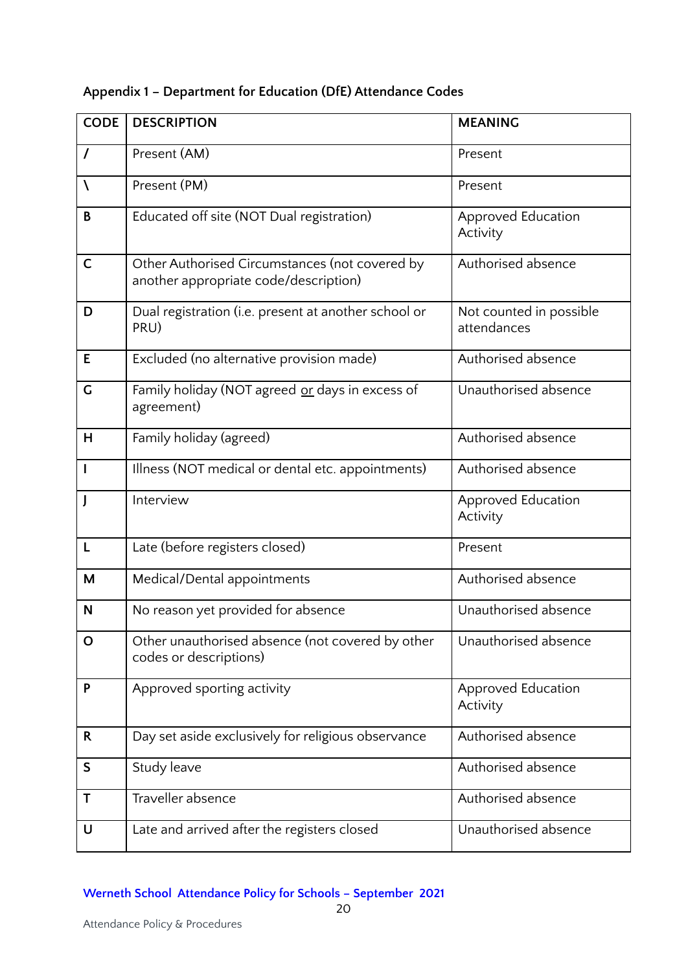| <b>CODE</b>  | <b>DESCRIPTION</b>                                                                      | <b>MEANING</b>                         |
|--------------|-----------------------------------------------------------------------------------------|----------------------------------------|
| $\prime$     | Present (AM)                                                                            | Present                                |
| $\lambda$    | Present (PM)                                                                            | Present                                |
| B            | Educated off site (NOT Dual registration)                                               | Approved Education<br>Activity         |
| $\mathsf C$  | Other Authorised Circumstances (not covered by<br>another appropriate code/description) | Authorised absence                     |
| D            | Dual registration (i.e. present at another school or<br>PRU)                            | Not counted in possible<br>attendances |
| E            | Excluded (no alternative provision made)                                                | Authorised absence                     |
| G            | Family holiday (NOT agreed or days in excess of<br>agreement)                           | Unauthorised absence                   |
| H            | Family holiday (agreed)                                                                 | Authorised absence                     |
| T            | Illness (NOT medical or dental etc. appointments)                                       | Authorised absence                     |
|              | Interview                                                                               | Approved Education<br>Activity         |
| L            | Late (before registers closed)                                                          | Present                                |
| M            | Medical/Dental appointments                                                             | Authorised absence                     |
| N            | No reason yet provided for absence                                                      | Unauthorised absence                   |
| O            | Other unauthorised absence (not covered by other<br>codes or descriptions)              | Unauthorised absence                   |
| P            | Approved sporting activity                                                              | Approved Education<br>Activity         |
| $\mathsf{R}$ | Day set aside exclusively for religious observance                                      | Authorised absence                     |
| $\mathsf S$  | Study leave                                                                             | Authorised absence                     |
| Τ            | Traveller absence                                                                       | Authorised absence                     |

### **Appendix 1 – Department for Education (DfE) Attendance Codes**

#### **Werneth School Attendance Policy for Schools – September 2021**

U Late and arrived after the registers closed Unauthorised absence